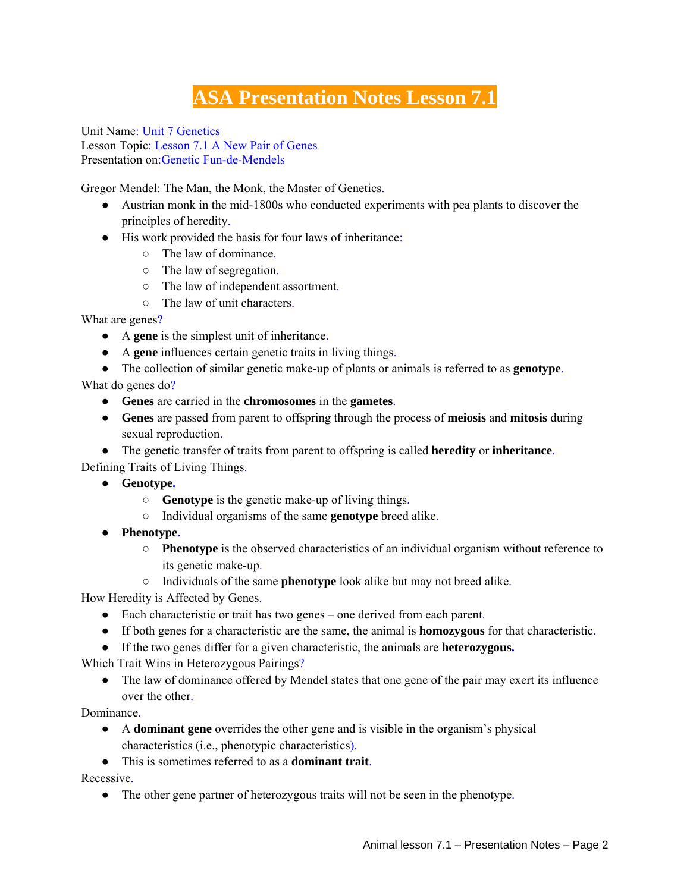## **ASA Presentation Notes Lesson 7.1**

Unit Name: Unit 7 Genetics Lesson Topic: Lesson 7.1 A New Pair of Genes Presentation on:Genetic Fun-de-Mendels

Gregor Mendel: The Man, the Monk, the Master of Genetics.

- Austrian monk in the mid-1800s who conducted experiments with pea plants to discover the principles of heredity.
- His work provided the basis for four laws of inheritance:
	- The law of dominance.
	- The law of segregation.
	- The law of independent assortment.
	- The law of unit characters.

What are genes?

- A **gene** is the simplest unit of inheritance.
- A **gene** influences certain genetic traits in living things.
- The collection of similar genetic make-up of plants or animals is referred to as **genotype**.

What do genes do?

- **Genes** are carried in the **chromosomes** in the **gametes**.
- **Genes** are passed from parent to offspring through the process of **meiosis** and **mitosis** during sexual reproduction.
- The genetic transfer of traits from parent to offspring is called **heredity** or **inheritance**.

Defining Traits of Living Things.

- **Genotype.**
	- **Genotype** is the genetic make-up of living things.
	- Individual organisms of the same **genotype** breed alike.
- **Phenotype.**
	- **Phenotype** is the observed characteristics of an individual organism without reference to its genetic make-up.
	- Individuals of the same **phenotype** look alike but may not breed alike.

How Heredity is Affected by Genes.

- Each characteristic or trait has two genes one derived from each parent.
- If both genes for a characteristic are the same, the animal is **homozygous** for that characteristic.
- If the two genes differ for a given characteristic, the animals are **heterozygous.**

Which Trait Wins in Heterozygous Pairings?

• The law of dominance offered by Mendel states that one gene of the pair may exert its influence over the other.

Dominance.

- A **dominant gene** overrides the other gene and is visible in the organism's physical characteristics (i.e., phenotypic characteristics).
- This is sometimes referred to as a **dominant trait**.

Recessive.

• The other gene partner of heterozygous traits will not be seen in the phenotype.